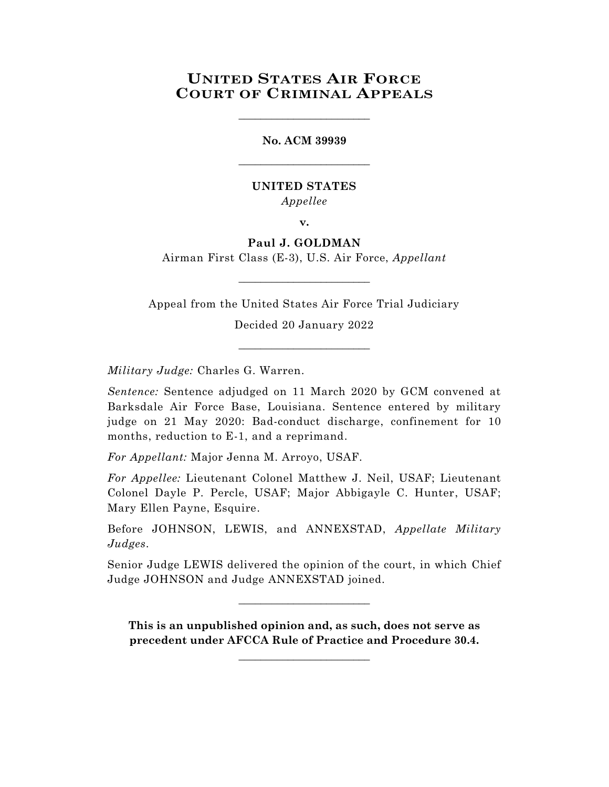# **UNITED STATES AIR FORCE COURT OF CRIMINAL APPEALS**

\_\_\_\_\_\_\_\_\_\_\_\_\_\_\_\_\_\_\_\_\_\_\_\_

**No. ACM 39939** \_\_\_\_\_\_\_\_\_\_\_\_\_\_\_\_\_\_\_\_\_\_\_\_

## **UNITED STATES** *Appellee*

**v.**

## **Paul J. GOLDMAN**

Airman First Class (E-3), U.S. Air Force, *Appellant*  $\_$ 

Appeal from the United States Air Force Trial Judiciary

Decided 20 January 2022 \_\_\_\_\_\_\_\_\_\_\_\_\_\_\_\_\_\_\_\_\_\_\_\_

*Military Judge:* Charles G. Warren.

*Sentence:* Sentence adjudged on 11 March 2020 by GCM convened at Barksdale Air Force Base, Louisiana. Sentence entered by military judge on 21 May 2020: Bad-conduct discharge, confinement for 10 months, reduction to E-1, and a reprimand.

*For Appellant:* Major Jenna M. Arroyo, USAF.

*For Appellee:* Lieutenant Colonel Matthew J. Neil, USAF; Lieutenant Colonel Dayle P. Percle, USAF; Major Abbigayle C. Hunter, USAF; Mary Ellen Payne, Esquire.

Before JOHNSON, LEWIS, and ANNEXSTAD, *Appellate Military Judges*.

Senior Judge LEWIS delivered the opinion of the court, in which Chief Judge JOHNSON and Judge ANNEXSTAD joined.

 $\_$ 

**This is an unpublished opinion and, as such, does not serve as precedent under AFCCA Rule of Practice and Procedure 30.4.**

**\_\_\_\_\_\_\_\_\_\_\_\_\_\_\_\_\_\_\_\_\_\_\_\_**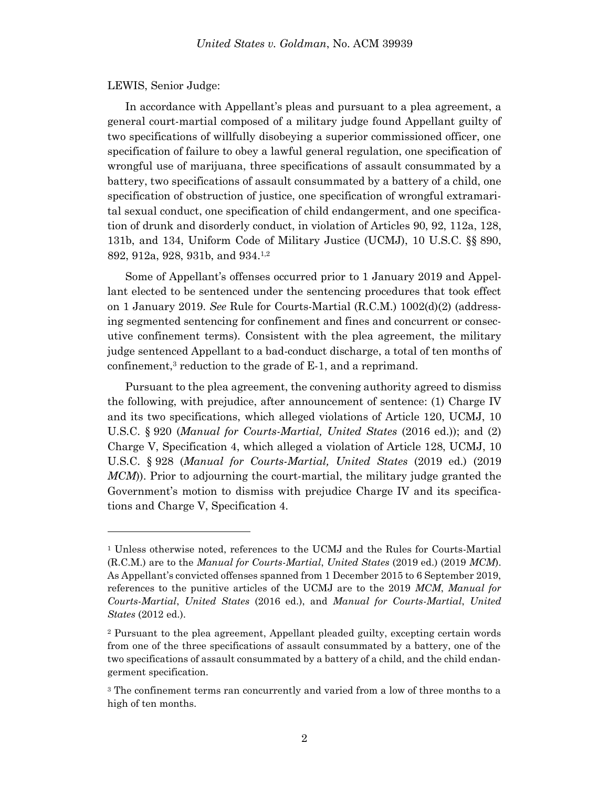### LEWIS, Senior Judge:

l

In accordance with Appellant's pleas and pursuant to a plea agreement, a general court-martial composed of a military judge found Appellant guilty of two specifications of willfully disobeying a superior commissioned officer, one specification of failure to obey a lawful general regulation, one specification of wrongful use of marijuana, three specifications of assault consummated by a battery, two specifications of assault consummated by a battery of a child, one specification of obstruction of justice, one specification of wrongful extramarital sexual conduct, one specification of child endangerment, and one specification of drunk and disorderly conduct, in violation of Articles 90, 92, 112a, 128, 131b, and 134, Uniform Code of Military Justice (UCMJ), 10 U.S.C. §§ 890, 892, 912a, 928, 931b, and 934. 1,2

Some of Appellant's offenses occurred prior to 1 January 2019 and Appellant elected to be sentenced under the sentencing procedures that took effect on 1 January 2019. *See* Rule for Courts-Martial (R.C.M.) 1002(d)(2) (addressing segmented sentencing for confinement and fines and concurrent or consecutive confinement terms). Consistent with the plea agreement, the military judge sentenced Appellant to a bad-conduct discharge, a total of ten months of confinement,<sup>3</sup> reduction to the grade of  $E-1$ , and a reprimand.

Pursuant to the plea agreement, the convening authority agreed to dismiss the following, with prejudice, after announcement of sentence: (1) Charge IV and its two specifications, which alleged violations of Article 120, UCMJ, 10 U.S.C. § 920 (*Manual for Courts-Martial, United States* (2016 ed.)); and (2) Charge V, Specification 4, which alleged a violation of Article 128, UCMJ, 10 U.S.C. § 928 (*Manual for Courts-Martial, United States* (2019 ed.) (2019 *MCM*)). Prior to adjourning the court-martial, the military judge granted the Government's motion to dismiss with prejudice Charge IV and its specifications and Charge V, Specification 4.

<sup>1</sup> Unless otherwise noted, references to the UCMJ and the Rules for Courts-Martial (R.C.M.) are to the *Manual for Courts-Martial*, *United States* (2019 ed.) (2019 *MCM*). As Appellant's convicted offenses spanned from 1 December 2015 to 6 September 2019, references to the punitive articles of the UCMJ are to the 2019 *MCM*, *Manual for Courts-Martial*, *United States* (2016 ed.), and *Manual for Courts-Martial*, *United States* (2012 ed.).

<sup>2</sup> Pursuant to the plea agreement, Appellant pleaded guilty, excepting certain words from one of the three specifications of assault consummated by a battery, one of the two specifications of assault consummated by a battery of a child, and the child endangerment specification.

<sup>&</sup>lt;sup>3</sup> The confinement terms ran concurrently and varied from a low of three months to a high of ten months.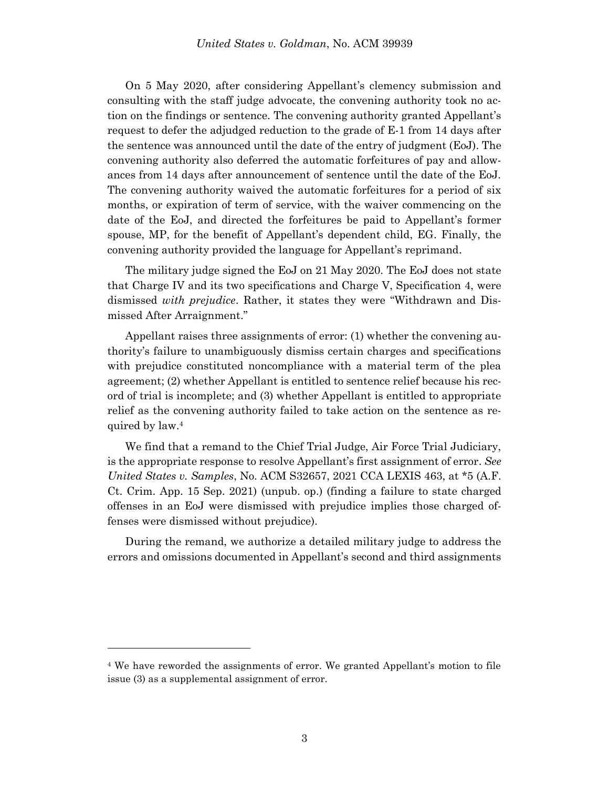On 5 May 2020, after considering Appellant's clemency submission and consulting with the staff judge advocate, the convening authority took no action on the findings or sentence. The convening authority granted Appellant's request to defer the adjudged reduction to the grade of E-1 from 14 days after the sentence was announced until the date of the entry of judgment (EoJ). The convening authority also deferred the automatic forfeitures of pay and allowances from 14 days after announcement of sentence until the date of the EoJ. The convening authority waived the automatic forfeitures for a period of six months, or expiration of term of service, with the waiver commencing on the date of the EoJ, and directed the forfeitures be paid to Appellant's former spouse, MP, for the benefit of Appellant's dependent child, EG. Finally, the convening authority provided the language for Appellant's reprimand.

The military judge signed the EoJ on 21 May 2020. The EoJ does not state that Charge IV and its two specifications and Charge V, Specification 4, were dismissed *with prejudice*. Rather, it states they were "Withdrawn and Dismissed After Arraignment."

Appellant raises three assignments of error: (1) whether the convening authority's failure to unambiguously dismiss certain charges and specifications with prejudice constituted noncompliance with a material term of the plea agreement; (2) whether Appellant is entitled to sentence relief because his record of trial is incomplete; and (3) whether Appellant is entitled to appropriate relief as the convening authority failed to take action on the sentence as required by law.<sup>4</sup>

We find that a remand to the Chief Trial Judge, Air Force Trial Judiciary, is the appropriate response to resolve Appellant's first assignment of error. *See United States v. Samples*, No. ACM S32657, 2021 CCA LEXIS 463, at \*5 (A.F. Ct. Crim. App. 15 Sep. 2021) (unpub. op.) (finding a failure to state charged offenses in an EoJ were dismissed with prejudice implies those charged offenses were dismissed without prejudice).

During the remand, we authorize a detailed military judge to address the errors and omissions documented in Appellant's second and third assignments

<sup>4</sup> We have reworded the assignments of error. We granted Appellant's motion to file issue (3) as a supplemental assignment of error.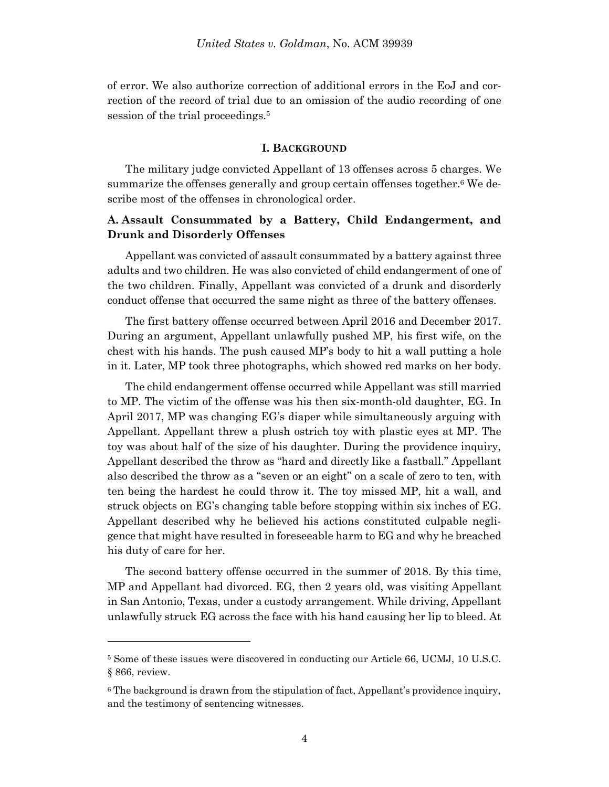of error. We also authorize correction of additional errors in the EoJ and correction of the record of trial due to an omission of the audio recording of one session of the trial proceedings. 5

### **I. BACKGROUND**

The military judge convicted Appellant of 13 offenses across 5 charges. We summarize the offenses generally and group certain offenses together.<sup>6</sup> We describe most of the offenses in chronological order.

## **A. Assault Consummated by a Battery, Child Endangerment, and Drunk and Disorderly Offenses**

Appellant was convicted of assault consummated by a battery against three adults and two children. He was also convicted of child endangerment of one of the two children. Finally, Appellant was convicted of a drunk and disorderly conduct offense that occurred the same night as three of the battery offenses.

The first battery offense occurred between April 2016 and December 2017. During an argument, Appellant unlawfully pushed MP, his first wife, on the chest with his hands. The push caused MP's body to hit a wall putting a hole in it. Later, MP took three photographs, which showed red marks on her body.

The child endangerment offense occurred while Appellant was still married to MP. The victim of the offense was his then six-month-old daughter, EG. In April 2017, MP was changing EG's diaper while simultaneously arguing with Appellant. Appellant threw a plush ostrich toy with plastic eyes at MP. The toy was about half of the size of his daughter. During the providence inquiry, Appellant described the throw as "hard and directly like a fastball." Appellant also described the throw as a "seven or an eight" on a scale of zero to ten, with ten being the hardest he could throw it. The toy missed MP, hit a wall, and struck objects on EG's changing table before stopping within six inches of EG. Appellant described why he believed his actions constituted culpable negligence that might have resulted in foreseeable harm to EG and why he breached his duty of care for her.

The second battery offense occurred in the summer of 2018. By this time, MP and Appellant had divorced. EG, then 2 years old, was visiting Appellant in San Antonio, Texas, under a custody arrangement. While driving, Appellant unlawfully struck EG across the face with his hand causing her lip to bleed. At

<sup>5</sup> Some of these issues were discovered in conducting our Article 66, UCMJ, 10 U.S.C. § 866, review.

<sup>&</sup>lt;sup>6</sup> The background is drawn from the stipulation of fact, Appellant's providence inquiry, and the testimony of sentencing witnesses.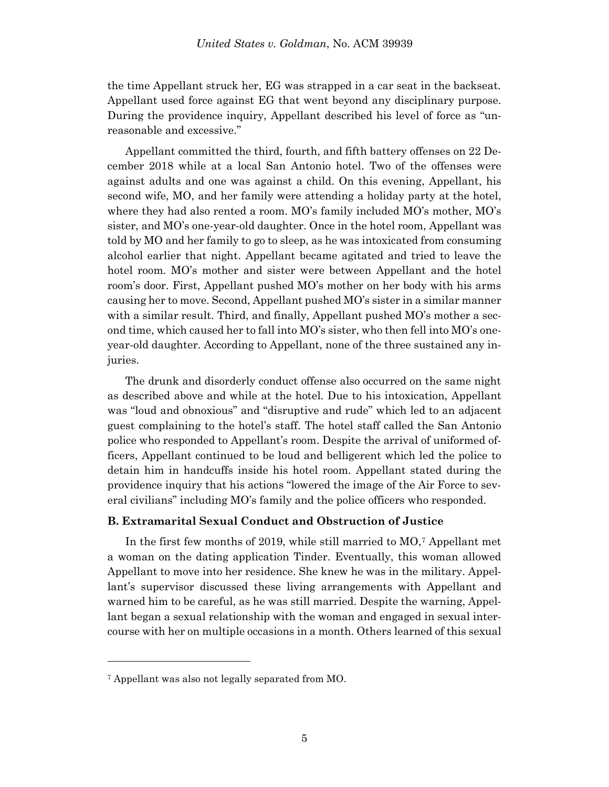the time Appellant struck her, EG was strapped in a car seat in the backseat. Appellant used force against EG that went beyond any disciplinary purpose. During the providence inquiry, Appellant described his level of force as "unreasonable and excessive."

Appellant committed the third, fourth, and fifth battery offenses on 22 December 2018 while at a local San Antonio hotel. Two of the offenses were against adults and one was against a child. On this evening, Appellant, his second wife, MO, and her family were attending a holiday party at the hotel, where they had also rented a room. MO's family included MO's mother, MO's sister, and MO's one-year-old daughter. Once in the hotel room, Appellant was told by MO and her family to go to sleep, as he was intoxicated from consuming alcohol earlier that night. Appellant became agitated and tried to leave the hotel room. MO's mother and sister were between Appellant and the hotel room's door. First, Appellant pushed MO's mother on her body with his arms causing her to move. Second, Appellant pushed MO's sister in a similar manner with a similar result. Third, and finally, Appellant pushed MO's mother a second time, which caused her to fall into MO's sister, who then fell into MO's oneyear-old daughter. According to Appellant, none of the three sustained any injuries.

The drunk and disorderly conduct offense also occurred on the same night as described above and while at the hotel. Due to his intoxication, Appellant was "loud and obnoxious" and "disruptive and rude" which led to an adjacent guest complaining to the hotel's staff. The hotel staff called the San Antonio police who responded to Appellant's room. Despite the arrival of uniformed officers, Appellant continued to be loud and belligerent which led the police to detain him in handcuffs inside his hotel room. Appellant stated during the providence inquiry that his actions "lowered the image of the Air Force to several civilians" including MO's family and the police officers who responded.

## **B. Extramarital Sexual Conduct and Obstruction of Justice**

In the first few months of 2019, while still married to MO,<sup>7</sup> Appellant met a woman on the dating application Tinder. Eventually, this woman allowed Appellant to move into her residence. She knew he was in the military. Appellant's supervisor discussed these living arrangements with Appellant and warned him to be careful, as he was still married. Despite the warning, Appellant began a sexual relationship with the woman and engaged in sexual intercourse with her on multiple occasions in a month. Others learned of this sexual

<sup>7</sup> Appellant was also not legally separated from MO.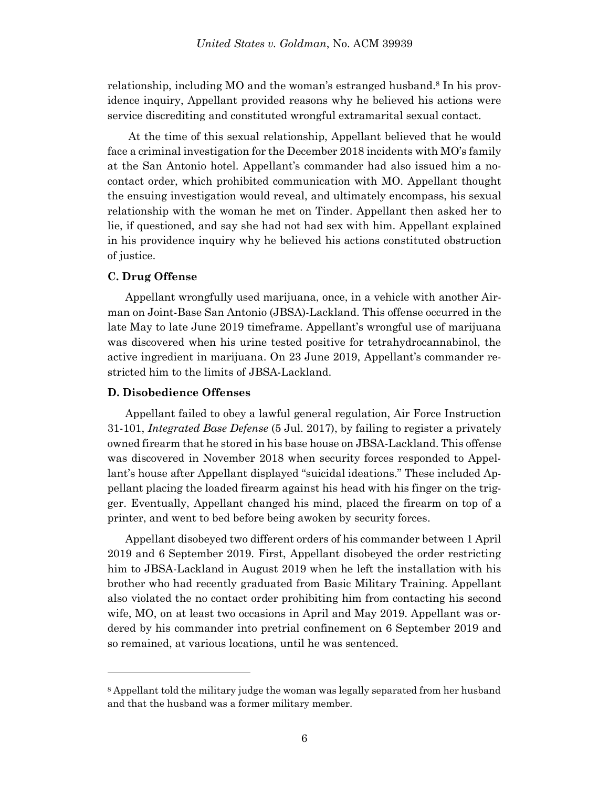relationship, including MO and the woman's estranged husband.<sup>8</sup> In his providence inquiry, Appellant provided reasons why he believed his actions were service discrediting and constituted wrongful extramarital sexual contact.

At the time of this sexual relationship, Appellant believed that he would face a criminal investigation for the December 2018 incidents with MO's family at the San Antonio hotel. Appellant's commander had also issued him a nocontact order, which prohibited communication with MO. Appellant thought the ensuing investigation would reveal, and ultimately encompass, his sexual relationship with the woman he met on Tinder. Appellant then asked her to lie, if questioned, and say she had not had sex with him. Appellant explained in his providence inquiry why he believed his actions constituted obstruction of justice.

## **C. Drug Offense**

l

Appellant wrongfully used marijuana, once, in a vehicle with another Airman on Joint-Base San Antonio (JBSA)-Lackland. This offense occurred in the late May to late June 2019 timeframe. Appellant's wrongful use of marijuana was discovered when his urine tested positive for tetrahydrocannabinol, the active ingredient in marijuana. On 23 June 2019, Appellant's commander restricted him to the limits of JBSA-Lackland.

## **D. Disobedience Offenses**

Appellant failed to obey a lawful general regulation, Air Force Instruction 31-101, *Integrated Base Defense* (5 Jul. 2017), by failing to register a privately owned firearm that he stored in his base house on JBSA-Lackland. This offense was discovered in November 2018 when security forces responded to Appellant's house after Appellant displayed "suicidal ideations." These included Appellant placing the loaded firearm against his head with his finger on the trigger. Eventually, Appellant changed his mind, placed the firearm on top of a printer, and went to bed before being awoken by security forces.

Appellant disobeyed two different orders of his commander between 1 April 2019 and 6 September 2019. First, Appellant disobeyed the order restricting him to JBSA-Lackland in August 2019 when he left the installation with his brother who had recently graduated from Basic Military Training. Appellant also violated the no contact order prohibiting him from contacting his second wife, MO, on at least two occasions in April and May 2019. Appellant was ordered by his commander into pretrial confinement on 6 September 2019 and so remained, at various locations, until he was sentenced.

<sup>8</sup> Appellant told the military judge the woman was legally separated from her husband and that the husband was a former military member.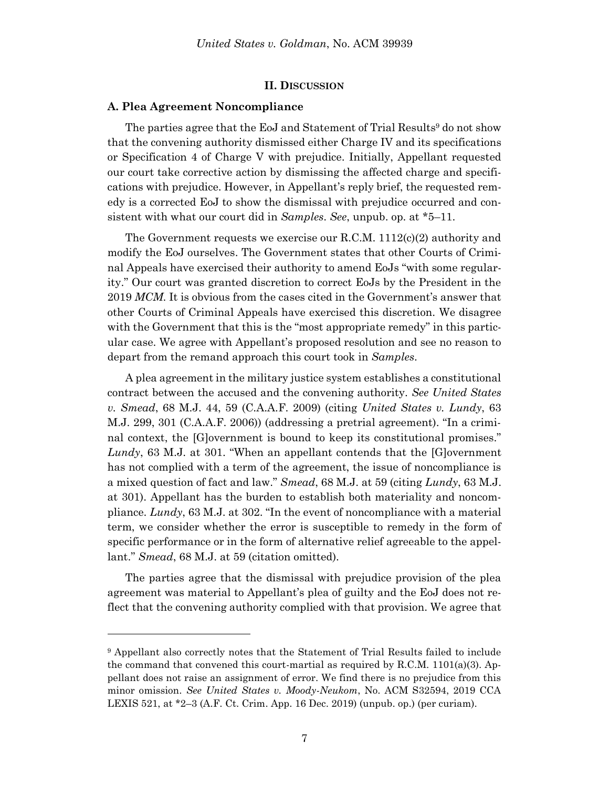### **II. DISCUSSION**

#### **A. Plea Agreement Noncompliance**

l

The parties agree that the EoJ and Statement of Trial Results<sup>9</sup> do not show that the convening authority dismissed either Charge IV and its specifications or Specification 4 of Charge V with prejudice. Initially, Appellant requested our court take corrective action by dismissing the affected charge and specifications with prejudice. However, in Appellant's reply brief, the requested remedy is a corrected EoJ to show the dismissal with prejudice occurred and consistent with what our court did in *Samples*. *See*, unpub. op. at \*5–11.

The Government requests we exercise our R.C.M.  $1112(c)(2)$  authority and modify the EoJ ourselves. The Government states that other Courts of Criminal Appeals have exercised their authority to amend EoJs "with some regularity." Our court was granted discretion to correct EoJs by the President in the 2019 *MCM*. It is obvious from the cases cited in the Government's answer that other Courts of Criminal Appeals have exercised this discretion. We disagree with the Government that this is the "most appropriate remedy" in this particular case. We agree with Appellant's proposed resolution and see no reason to depart from the remand approach this court took in *Samples*.

A plea agreement in the military justice system establishes a constitutional contract between the accused and the convening authority. *See United States v. Smead*, 68 M.J. 44, 59 (C.A.A.F. 2009) (citing *United States v. Lundy*, 63 M.J. 299, 301 (C.A.A.F. 2006)) (addressing a pretrial agreement). "In a criminal context, the [G]overnment is bound to keep its constitutional promises." *Lundy*, 63 M.J. at 301. "When an appellant contends that the [G]overnment has not complied with a term of the agreement, the issue of noncompliance is a mixed question of fact and law." *Smead*, 68 M.J. at 59 (citing *Lundy*, 63 M.J. at 301). Appellant has the burden to establish both materiality and noncompliance. *Lundy*, 63 M.J. at 302. "In the event of noncompliance with a material term, we consider whether the error is susceptible to remedy in the form of specific performance or in the form of alternative relief agreeable to the appellant." *Smead*, 68 M.J. at 59 (citation omitted).

The parties agree that the dismissal with prejudice provision of the plea agreement was material to Appellant's plea of guilty and the EoJ does not reflect that the convening authority complied with that provision. We agree that

<sup>9</sup> Appellant also correctly notes that the Statement of Trial Results failed to include the command that convened this court-martial as required by  $R.C.M. 1101(a)(3)$ . Appellant does not raise an assignment of error. We find there is no prejudice from this minor omission. *See United States v. Moody-Neukom*, No. ACM S32594, 2019 CCA LEXIS 521, at \*2–3 (A.F. Ct. Crim. App. 16 Dec. 2019) (unpub. op.) (per curiam).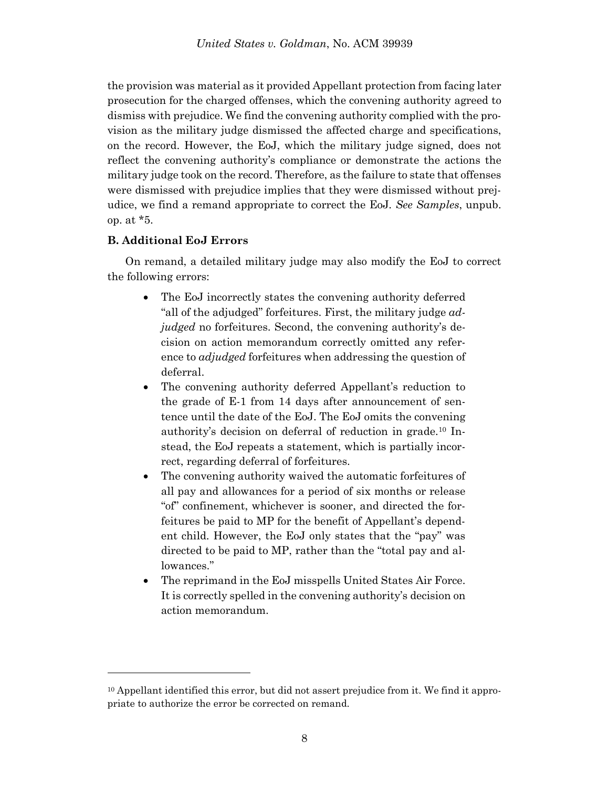the provision was material as it provided Appellant protection from facing later prosecution for the charged offenses, which the convening authority agreed to dismiss with prejudice. We find the convening authority complied with the provision as the military judge dismissed the affected charge and specifications, on the record. However, the EoJ, which the military judge signed, does not reflect the convening authority's compliance or demonstrate the actions the military judge took on the record. Therefore, as the failure to state that offenses were dismissed with prejudice implies that they were dismissed without prejudice, we find a remand appropriate to correct the EoJ. *See Samples*, unpub. op. at \*5.

## **B. Additional EoJ Errors**

l

On remand, a detailed military judge may also modify the EoJ to correct the following errors:

- The EoJ incorrectly states the convening authority deferred "all of the adjudged" forfeitures. First, the military judge *adjudged* no forfeitures. Second, the convening authority's decision on action memorandum correctly omitted any reference to *adjudged* forfeitures when addressing the question of deferral.
- The convening authority deferred Appellant's reduction to the grade of E-1 from 14 days after announcement of sentence until the date of the EoJ. The EoJ omits the convening authority's decision on deferral of reduction in grade.<sup>10</sup> Instead, the EoJ repeats a statement, which is partially incorrect, regarding deferral of forfeitures.
- The convening authority waived the automatic forfeitures of all pay and allowances for a period of six months or release "of" confinement, whichever is sooner, and directed the forfeitures be paid to MP for the benefit of Appellant's dependent child. However, the EoJ only states that the "pay" was directed to be paid to MP, rather than the "total pay and allowances."
- The reprimand in the EoJ misspells United States Air Force. It is correctly spelled in the convening authority's decision on action memorandum.

 $10$  Appellant identified this error, but did not assert prejudice from it. We find it appropriate to authorize the error be corrected on remand.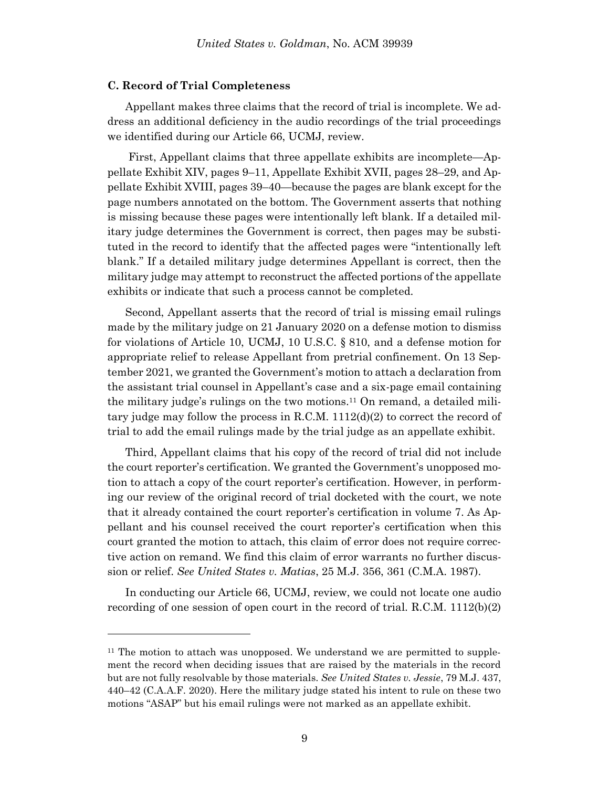#### **C. Record of Trial Completeness**

l

Appellant makes three claims that the record of trial is incomplete. We address an additional deficiency in the audio recordings of the trial proceedings we identified during our Article 66, UCMJ, review.

First, Appellant claims that three appellate exhibits are incomplete—Appellate Exhibit XIV, pages 9–11, Appellate Exhibit XVII, pages 28–29, and Appellate Exhibit XVIII, pages 39–40—because the pages are blank except for the page numbers annotated on the bottom. The Government asserts that nothing is missing because these pages were intentionally left blank. If a detailed military judge determines the Government is correct, then pages may be substituted in the record to identify that the affected pages were "intentionally left blank." If a detailed military judge determines Appellant is correct, then the military judge may attempt to reconstruct the affected portions of the appellate exhibits or indicate that such a process cannot be completed.

Second, Appellant asserts that the record of trial is missing email rulings made by the military judge on 21 January 2020 on a defense motion to dismiss for violations of Article 10, UCMJ, 10 U.S.C. § 810, and a defense motion for appropriate relief to release Appellant from pretrial confinement. On 13 September 2021, we granted the Government's motion to attach a declaration from the assistant trial counsel in Appellant's case and a six-page email containing the military judge's rulings on the two motions.<sup>11</sup> On remand, a detailed military judge may follow the process in R.C.M.  $1112(d)(2)$  to correct the record of trial to add the email rulings made by the trial judge as an appellate exhibit.

Third, Appellant claims that his copy of the record of trial did not include the court reporter's certification. We granted the Government's unopposed motion to attach a copy of the court reporter's certification. However, in performing our review of the original record of trial docketed with the court, we note that it already contained the court reporter's certification in volume 7. As Appellant and his counsel received the court reporter's certification when this court granted the motion to attach, this claim of error does not require corrective action on remand. We find this claim of error warrants no further discussion or relief. *See United States v. Matias*, 25 M.J. 356, 361 (C.M.A. 1987).

In conducting our Article 66, UCMJ, review, we could not locate one audio recording of one session of open court in the record of trial. R.C.M. 1112(b)(2)

 $11$  The motion to attach was unopposed. We understand we are permitted to supplement the record when deciding issues that are raised by the materials in the record but are not fully resolvable by those materials. *See United States v. Jessie*, 79 M.J. 437, 440–42 (C.A.A.F. 2020). Here the military judge stated his intent to rule on these two motions "ASAP" but his email rulings were not marked as an appellate exhibit.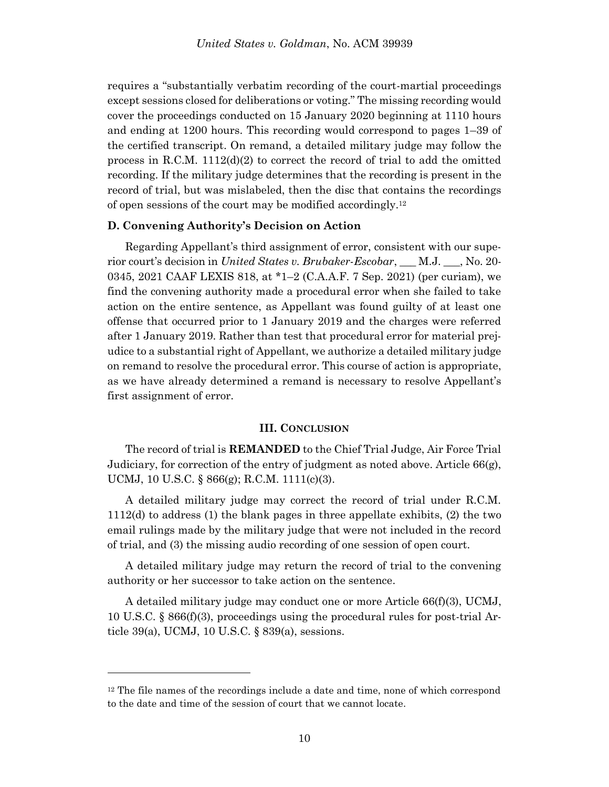requires a "substantially verbatim recording of the court-martial proceedings except sessions closed for deliberations or voting." The missing recording would cover the proceedings conducted on 15 January 2020 beginning at 1110 hours and ending at 1200 hours. This recording would correspond to pages 1–39 of the certified transcript. On remand, a detailed military judge may follow the process in R.C.M.  $1112(d)(2)$  to correct the record of trial to add the omitted recording. If the military judge determines that the recording is present in the record of trial, but was mislabeled, then the disc that contains the recordings of open sessions of the court may be modified accordingly.<sup>12</sup>

### **D. Convening Authority's Decision on Action**

Regarding Appellant's third assignment of error, consistent with our superior court's decision in *United States v. Brubaker-Escobar*, \_\_\_ M.J. \_\_\_, No. 20- 0345, 2021 CAAF LEXIS 818, at \*1–2 (C.A.A.F. 7 Sep. 2021) (per curiam), we find the convening authority made a procedural error when she failed to take action on the entire sentence, as Appellant was found guilty of at least one offense that occurred prior to 1 January 2019 and the charges were referred after 1 January 2019. Rather than test that procedural error for material prejudice to a substantial right of Appellant, we authorize a detailed military judge on remand to resolve the procedural error. This course of action is appropriate, as we have already determined a remand is necessary to resolve Appellant's first assignment of error.

### **III. CONCLUSION**

The record of trial is **REMANDED** to the Chief Trial Judge, Air Force Trial Judiciary, for correction of the entry of judgment as noted above. [Article 66\(g\),](https://advance.lexis.com/document/?pdmfid=1000516&crid=ddf1e5fe-455a-4f80-9552-61ea6f674b84&pddocfullpath=%2Fshared%2Fdocument%2Fcases%2Furn%3AcontentItem%3A5Y28-5FN1-FJDY-X0TD-00000-00&pdcontentcomponentid=7814&pdshepid=urn%3AcontentItem%3A5Y13-98S1-DXC8-755H-00000-00&pdteaserkey=sr0&pditab=allpods&ecomp=fbh4k&earg=sr0&prid=aedb4381-8f4e-4196-bcd1-fea269c25e7c)  [UCMJ, 10 U.S.C. § 866\(g\);](https://advance.lexis.com/document/?pdmfid=1000516&crid=ddf1e5fe-455a-4f80-9552-61ea6f674b84&pddocfullpath=%2Fshared%2Fdocument%2Fcases%2Furn%3AcontentItem%3A5Y28-5FN1-FJDY-X0TD-00000-00&pdcontentcomponentid=7814&pdshepid=urn%3AcontentItem%3A5Y13-98S1-DXC8-755H-00000-00&pdteaserkey=sr0&pditab=allpods&ecomp=fbh4k&earg=sr0&prid=aedb4381-8f4e-4196-bcd1-fea269c25e7c) R.C.M. 1111(c)(3).

A detailed military judge may correct the record of trial under R.C.M. 1112(d) to address (1) the blank pages in three appellate exhibits, (2) the two email rulings made by the military judge that were not included in the record of trial, and (3) the missing audio recording of one session of open court.

A detailed military judge may return the record of trial to the convening authority or her successor to take action on the sentence.

A detailed military judge may conduct one or more Article 66(f)(3), UCMJ, 10 U.S.C. § 866(f)(3), proceedings using the procedural rules for post-trial Article 39(a), UCMJ, 10 U.S.C. § 839(a), sessions.

 $12$  The file names of the recordings include a date and time, none of which correspond to the date and time of the session of court that we cannot locate.